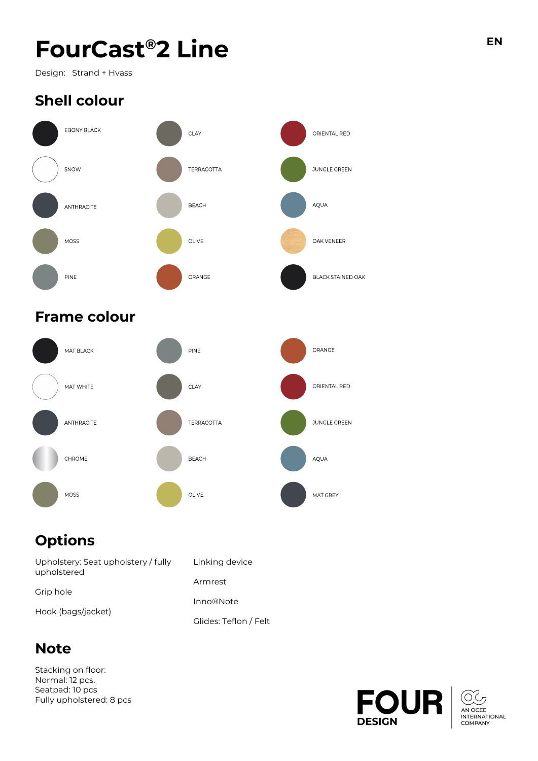# $F$ **OurCast<sup>®</sup>2 Line EN**

Design: Strand + Hvass

## **Shell colour**



### **Frame colour**



## **Options**

| Upholstery: Seat upholstery / fully<br>upholstered | Linking device        |
|----------------------------------------------------|-----------------------|
|                                                    | Armrest               |
| Grip hole                                          | <b>Inno®Note</b>      |
| Hook (bags/jacket)                                 | Glides: Teflon / Felt |

### **Note**

Stacking on floor: Normal: 12 pcs. Seatpad: 10 pcs Fully upholstered: 8 pcs

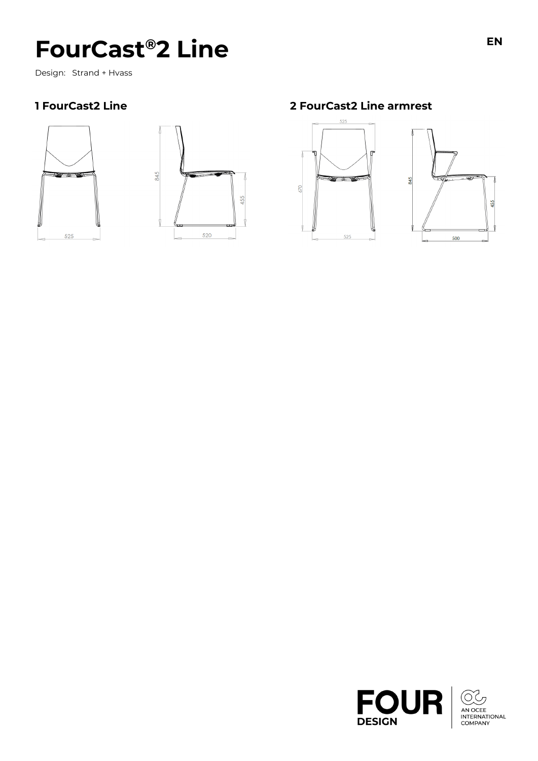## **FourCast®2 Line**

Design: Strand + Hvass

#### 1 FourCast2 Line





2 FourCast2 Line armrest

670